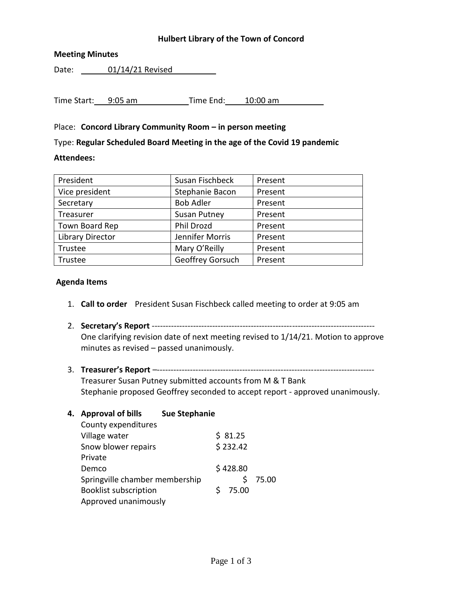## **Hulbert Library of the Town of Concord**

## **Meeting Minutes**

Date: 01/14/21 Revised

Time Start: 9:05 am Time End: 10:00 am

# Place: **Concord Library Community Room – in person meeting**

Type: **Regular Scheduled Board Meeting in the age of the Covid 19 pandemic**

# **Attendees:**

| President               | Susan Fischbeck     | Present |
|-------------------------|---------------------|---------|
| Vice president          | Stephanie Bacon     | Present |
| Secretary               | <b>Bob Adler</b>    | Present |
| Treasurer               | <b>Susan Putney</b> | Present |
| Town Board Rep          | Phil Drozd          | Present |
| <b>Library Director</b> | Jennifer Morris     | Present |
| Trustee                 | Mary O'Reilly       | Present |
| Trustee                 | Geoffrey Gorsuch    | Present |
|                         |                     |         |

## **Agenda Items**

- 1. **Call to order** President Susan Fischbeck called meeting to order at 9:05 am
- 2. **Secretary's Report** --------------------------------------------------------------------------------- One clarifying revision date of next meeting revised to 1/14/21. Motion to approve minutes as revised – passed unanimously.
- 3. **Treasurer's Report** –------------------------------------------------------------------------------- Treasurer Susan Putney submitted accounts from M & T Bank Stephanie proposed Geoffrey seconded to accept report - approved unanimously.

| 4. | <b>Approval of bills</b>       | <b>Sue Stephanie</b> |       |
|----|--------------------------------|----------------------|-------|
|    | County expenditures            |                      |       |
|    | Village water                  | \$31.25              |       |
|    | Snow blower repairs            | \$232.42             |       |
|    | Private                        |                      |       |
|    | Demco                          | \$428.80             |       |
|    | Springville chamber membership |                      | 75.00 |
|    | <b>Booklist subscription</b>   | 75.00                |       |
|    | Approved unanimously           |                      |       |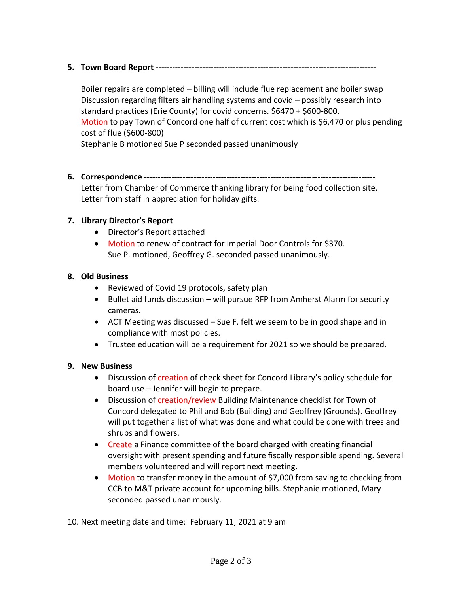# **5. Town Board Report --------------------------------------------------------------------------------**

Boiler repairs are completed – billing will include flue replacement and boiler swap Discussion regarding filters air handling systems and covid – possibly research into standard practices (Erie County) for covid concerns. \$6470 + \$600-800. Motion to pay Town of Concord one half of current cost which is \$6,470 or plus pending cost of flue (\$600-800) Stephanie B motioned Sue P seconded passed unanimously

- 
- **6. Correspondence ------------------------------------------------------------------------------------**

Letter from Chamber of Commerce thanking library for being food collection site. Letter from staff in appreciation for holiday gifts.

# **7. Library Director's Report**

- Director's Report attached
- Motion to renew of contract for Imperial Door Controls for \$370. Sue P. motioned, Geoffrey G. seconded passed unanimously.

# **8. Old Business**

- Reviewed of Covid 19 protocols, safety plan
- Bullet aid funds discussion will pursue RFP from Amherst Alarm for security cameras.
- ACT Meeting was discussed Sue F. felt we seem to be in good shape and in compliance with most policies.
- Trustee education will be a requirement for 2021 so we should be prepared.

## **9. New Business**

- Discussion of creation of check sheet for Concord Library's policy schedule for board use – Jennifer will begin to prepare.
- Discussion of creation/review Building Maintenance checklist for Town of Concord delegated to Phil and Bob (Building) and Geoffrey (Grounds). Geoffrey will put together a list of what was done and what could be done with trees and shrubs and flowers.
- Create a Finance committee of the board charged with creating financial oversight with present spending and future fiscally responsible spending. Several members volunteered and will report next meeting.
- Motion to transfer money in the amount of \$7,000 from saving to checking from CCB to M&T private account for upcoming bills. Stephanie motioned, Mary seconded passed unanimously.

10. Next meeting date and time: February 11, 2021 at 9 am